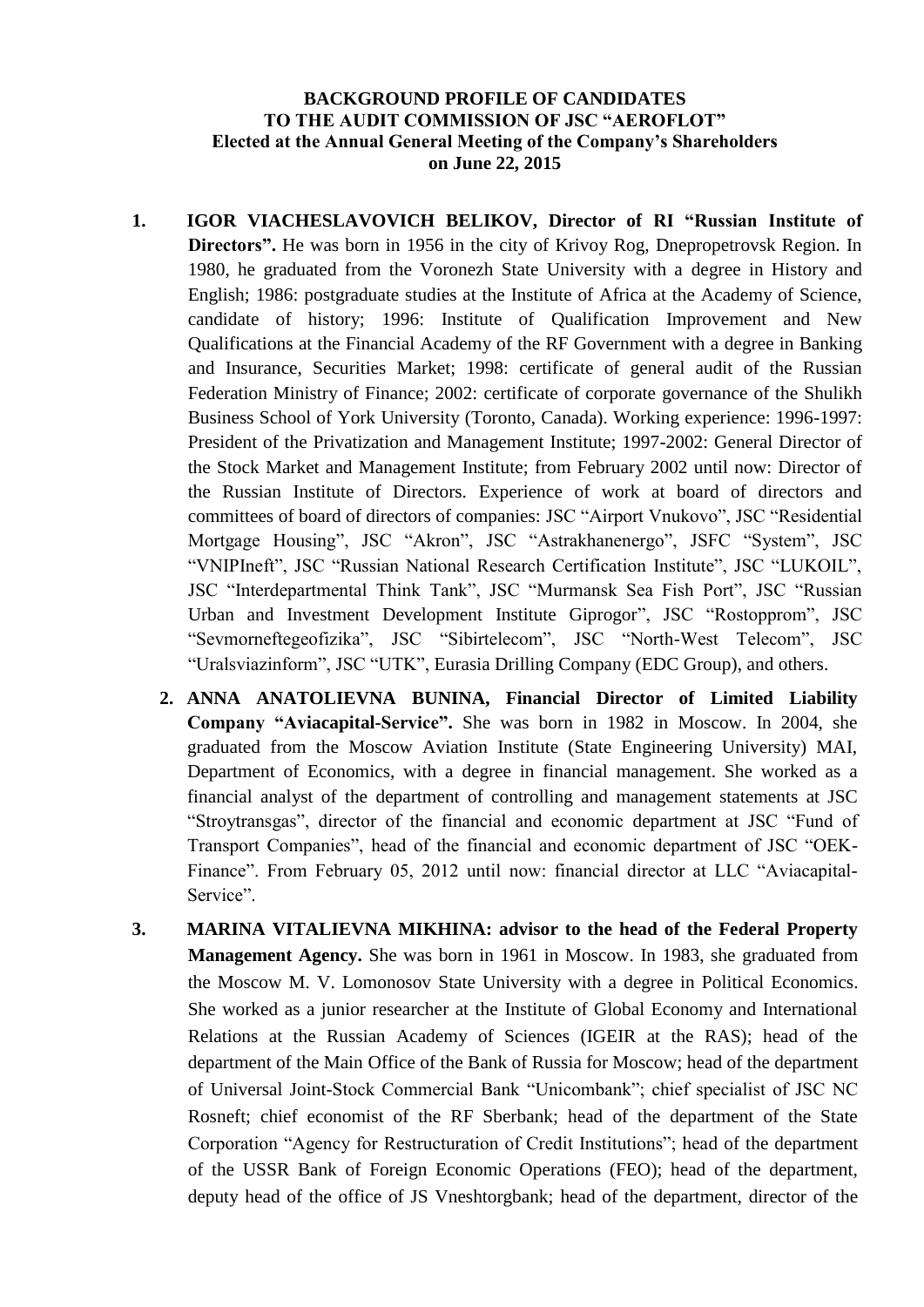## **BACKGROUND PROFILE OF CANDIDATES TO THE AUDIT COMMISSION OF JSC "AEROFLOT" Elected at the Annual General Meeting of the Company's Shareholders on June 22, 2015**

- **1. IGOR VIACHESLAVOVICH BELIKOV, Director of RI "Russian Institute of Directors".** He was born in 1956 in the city of Krivoy Rog, Dnepropetrovsk Region. In 1980, he graduated from the Voronezh State University with a degree in History and English; 1986: postgraduate studies at the Institute of Africa at the Academy of Science, candidate of history; 1996: Institute of Qualification Improvement and New Qualifications at the Financial Academy of the RF Government with a degree in Banking and Insurance, Securities Market; 1998: certificate of general audit of the Russian Federation Ministry of Finance; 2002: certificate of corporate governance of the Shulikh Business School of York University (Toronto, Canada). Working experience: 1996-1997: President of the Privatization and Management Institute; 1997-2002: General Director of the Stock Market and Management Institute; from February 2002 until now: Director of the Russian Institute of Directors. Experience of work at board of directors and committees of board of directors of companies: JSC "Airport Vnukovo", JSC "Residential Mortgage Housing", JSC "Akron", JSC "Astrakhanenergo", JSFC "System", JSC "VNIPIneft", JSC "Russian National Research Certification Institute", JSC "LUKOIL", JSC "Interdepartmental Think Tank", JSC "Murmansk Sea Fish Port", JSC "Russian Urban and Investment Development Institute Giprogor", JSC "Rostopprom", JSC "Sevmorneftegeofizika", JSC "Sibirtelecom", JSC "North-West Telecom", JSC "Uralsviazinform", JSC "UTK", Eurasia Drilling Company (EDC Group), and others.
	- **2. ANNA ANATOLIEVNA BUNINA, Financial Director of Limited Liability Company "Aviacapital-Service".** She was born in 1982 in Moscow. In 2004, she graduated from the Moscow Aviation Institute (State Engineering University) MAI, Department of Economics, with a degree in financial management. She worked as a financial analyst of the department of controlling and management statements at JSC "Stroytransgas", director of the financial and economic department at JSC "Fund of Transport Companies", head of the financial and economic department of JSC "OEK-Finance". From February 05, 2012 until now: financial director at LLC "Aviacapital-Service".
- **3. MARINA VITALIEVNA MIKHINA: advisor to the head of the Federal Property Management Agency.** She was born in 1961 in Moscow. In 1983, she graduated from the Moscow M. V. Lomonosov State University with a degree in Political Economics. She worked as a junior researcher at the Institute of Global Economy and International Relations at the Russian Academy of Sciences (IGEIR at the RAS); head of the department of the Main Office of the Bank of Russia for Moscow; head of the department of Universal Joint-Stock Commercial Bank "Unicombank"; chief specialist of JSC NC Rosneft; chief economist of the RF Sberbank; head of the department of the State Corporation "Agency for Restructuration of Credit Institutions"; head of the department of the USSR Bank of Foreign Economic Operations (FEO); head of the department, deputy head of the office of JS Vneshtorgbank; head of the department, director of the